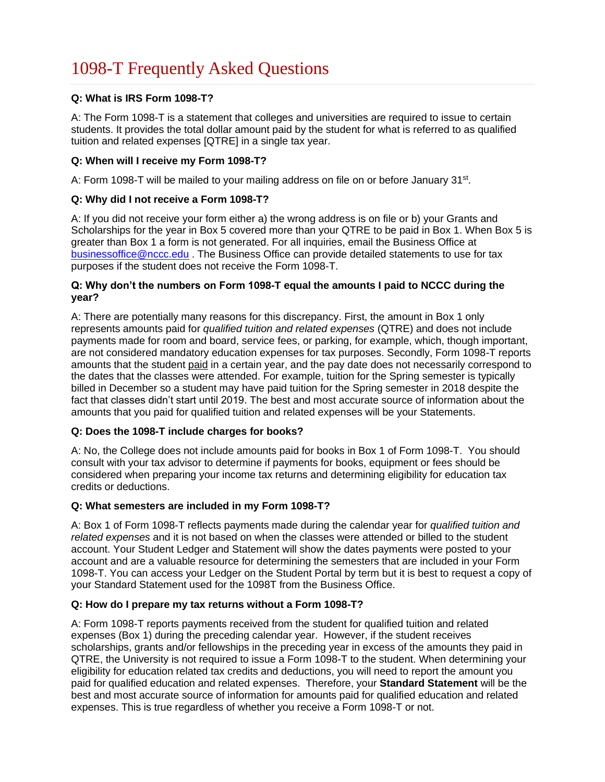# 1098-T Frequently Asked Questions

## **Q: What is IRS Form 1098-T?**

A: The Form 1098-T is a statement that colleges and universities are required to issue to certain students. It provides the total dollar amount paid by the student for what is referred to as qualified tuition and related expenses [QTRE] in a single tax year.

## **Q: When will I receive my Form 1098-T?**

A: Form 1098-T will be mailed to your mailing address on file on or before January 31<sup>st</sup>.

## **Q: Why did I not receive a Form 1098-T?**

A: If you did not receive your form either a) the wrong address is on file or b) your Grants and Scholarships for the year in Box 5 covered more than your QTRE to be paid in Box 1. When Box 5 is greater than Box 1 a form is not generated. For all inquiries, email the Business Office at [businessoffice@nccc.edu](mailto:businessoffice@nccc.edu) . The Business Office can provide detailed statements to use for tax purposes if the student does not receive the Form 1098-T.

## **Q: Why don't the numbers on Form 1098-T equal the amounts I paid to NCCC during the year?**

A: There are potentially many reasons for this discrepancy. First, the amount in Box 1 only represents amounts paid for *qualified tuition and related expenses* (QTRE) and does not include payments made for room and board, service fees, or parking, for example, which, though important, are not considered mandatory education expenses for tax purposes. Secondly, Form 1098-T reports amounts that the student paid in a certain year, and the pay date does not necessarily correspond to the dates that the classes were attended. For example, tuition for the Spring semester is typically billed in December so a student may have paid tuition for the Spring semester in 2018 despite the fact that classes didn't start until 2019. The best and most accurate source of information about the amounts that you paid for qualified tuition and related expenses will be your Statements.

# **Q: Does the 1098-T include charges for books?**

A: No, the College does not include amounts paid for books in Box 1 of Form 1098-T. You should consult with your tax advisor to determine if payments for books, equipment or fees should be considered when preparing your income tax returns and determining eligibility for education tax credits or deductions.

## **Q: What semesters are included in my Form 1098-T?**

A: Box 1 of Form 1098-T reflects payments made during the calendar year for *qualified tuition and related expenses* and it is not based on when the classes were attended or billed to the student account. Your Student Ledger and Statement will show the dates payments were posted to your account and are a valuable resource for determining the semesters that are included in your Form 1098-T. You can access your Ledger on the Student Portal by term but it is best to request a copy of your Standard Statement used for the 1098T from the Business Office.

## **Q: How do I prepare my tax returns without a Form 1098-T?**

A: Form 1098-T reports payments received from the student for qualified tuition and related expenses (Box 1) during the preceding calendar year. However, if the student receives scholarships, grants and/or fellowships in the preceding year in excess of the amounts they paid in QTRE, the University is not required to issue a Form 1098-T to the student. When determining your eligibility for education related tax credits and deductions, you will need to report the amount you paid for qualified education and related expenses. Therefore, your **Standard Statement** will be the best and most accurate source of information for amounts paid for qualified education and related expenses. This is true regardless of whether you receive a Form 1098-T or not.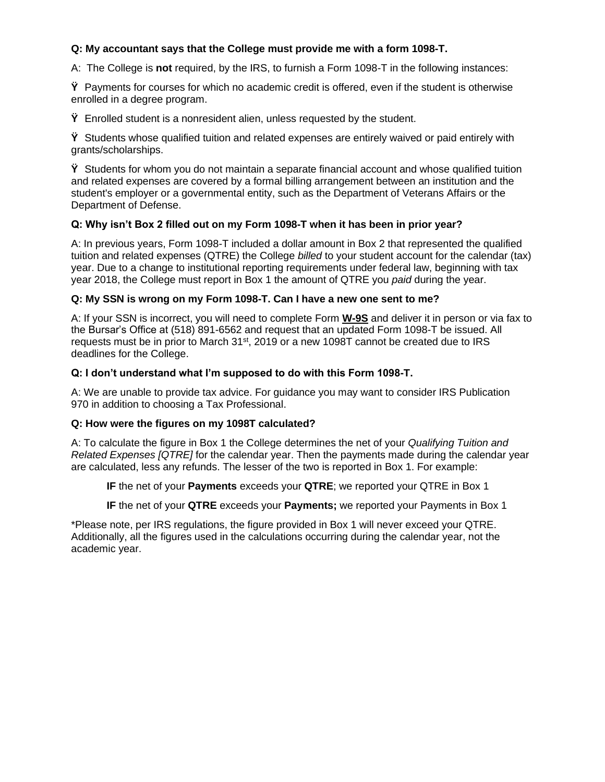# **Q: My accountant says that the College must provide me with a form 1098-T.**

A: The College is **not** required, by the IRS, to furnish a Form 1098-T in the following instances:

**Ÿ** Payments for courses for which no academic credit is offered, even if the student is otherwise enrolled in a degree program.

**Ÿ** Enrolled student is a nonresident alien, unless requested by the student.

**Ÿ** Students whose qualified tuition and related expenses are entirely waived or paid entirely with grants/scholarships.

**Ÿ** Students for whom you do not maintain a separate financial account and whose qualified tuition and related expenses are covered by a formal billing arrangement between an institution and the student's employer or a governmental entity, such as the Department of Veterans Affairs or the Department of Defense.

## **Q: Why isn't Box 2 filled out on my Form 1098-T when it has been in prior year?**

A: In previous years, Form 1098-T included a dollar amount in Box 2 that represented the qualified tuition and related expenses (QTRE) the College *billed* to your student account for the calendar (tax) year. Due to a change to institutional reporting requirements under federal law, beginning with tax year 2018, the College must report in Box 1 the amount of QTRE you *paid* during the year.

## **Q: My SSN is wrong on my Form 1098-T. Can I have a new one sent to me?**

A: If your SSN is incorrect, you will need to complete Form **W-9S** and deliver it in person or via fax to the Bursar's Office at (518) 891-6562 and request that an updated Form 1098-T be issued. All requests must be in prior to March 31st, 2019 or a new 1098T cannot be created due to IRS deadlines for the College.

## **Q: I don't understand what I'm supposed to do with this Form 1098-T.**

A: We are unable to provide tax advice. For guidance you may want to consider IRS Publication 970 in addition to choosing a Tax Professional.

## **Q: How were the figures on my 1098T calculated?**

A: To calculate the figure in Box 1 the College determines the net of your *Qualifying Tuition and Related Expenses [QTRE]* for the calendar year. Then the payments made during the calendar year are calculated, less any refunds. The lesser of the two is reported in Box 1. For example:

**IF** the net of your **Payments** exceeds your **QTRE**; we reported your QTRE in Box 1

**IF** the net of your **QTRE** exceeds your **Payments;** we reported your Payments in Box 1

\*Please note, per IRS regulations, the figure provided in Box 1 will never exceed your QTRE. Additionally, all the figures used in the calculations occurring during the calendar year, not the academic year.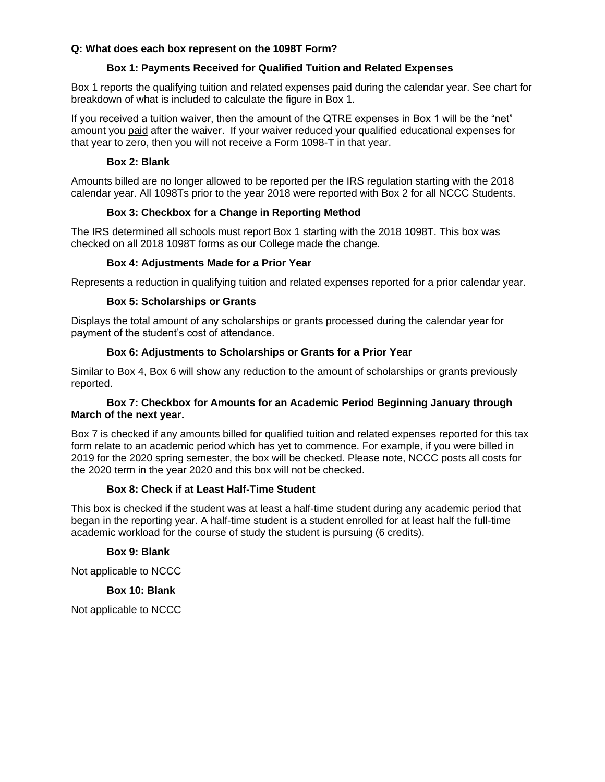## **Q: What does each box represent on the 1098T Form?**

## **Box 1: Payments Received for Qualified Tuition and Related Expenses**

Box 1 reports the qualifying tuition and related expenses paid during the calendar year. See chart for breakdown of what is included to calculate the figure in Box 1.

If you received a tuition waiver, then the amount of the QTRE expenses in Box 1 will be the "net" amount you paid after the waiver. If your waiver reduced your qualified educational expenses for that year to zero, then you will not receive a Form 1098-T in that year.

#### **Box 2: Blank**

Amounts billed are no longer allowed to be reported per the IRS regulation starting with the 2018 calendar year. All 1098Ts prior to the year 2018 were reported with Box 2 for all NCCC Students.

## **Box 3: Checkbox for a Change in Reporting Method**

The IRS determined all schools must report Box 1 starting with the 2018 1098T. This box was checked on all 2018 1098T forms as our College made the change.

## **Box 4: Adjustments Made for a Prior Year**

Represents a reduction in qualifying tuition and related expenses reported for a prior calendar year.

## **Box 5: Scholarships or Grants**

Displays the total amount of any scholarships or grants processed during the calendar year for payment of the student's cost of attendance.

## **Box 6: Adjustments to Scholarships or Grants for a Prior Year**

Similar to Box 4, Box 6 will show any reduction to the amount of scholarships or grants previously reported.

## **Box 7: Checkbox for Amounts for an Academic Period Beginning January through March of the next year.**

Box 7 is checked if any amounts billed for qualified tuition and related expenses reported for this tax form relate to an academic period which has yet to commence. For example, if you were billed in 2019 for the 2020 spring semester, the box will be checked. Please note, NCCC posts all costs for the 2020 term in the year 2020 and this box will not be checked.

## **Box 8: Check if at Least Half-Time Student**

This box is checked if the student was at least a half-time student during any academic period that began in the reporting year. A half-time student is a student enrolled for at least half the full-time academic workload for the course of study the student is pursuing (6 credits).

## **Box 9: Blank**

Not applicable to NCCC

## **Box 10: Blank**

Not applicable to NCCC